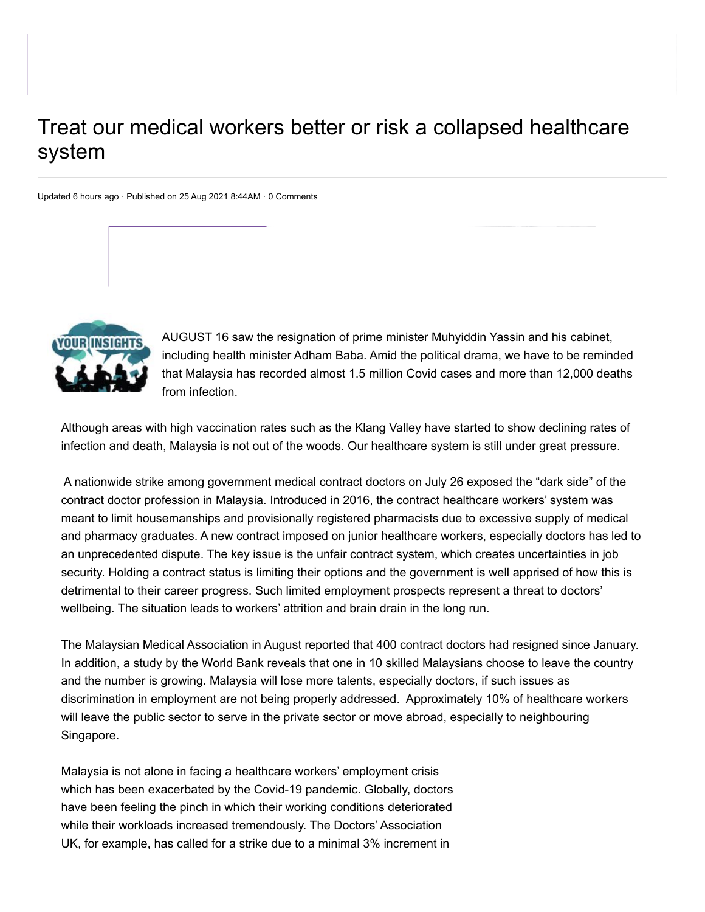## Treat our medical workers better or risk a collapsed healthcare system

Updated 6 hours ago · Published on 25 Aug 2021 8:44AM · 0 Comments



AUGUST 16 saw the resignation of prime minister Muhyiddin Yassin and his cabinet, including health minister Adham Baba. Amid the political drama, we have to be reminded that Malaysia has recorded almost 1.5 million Covid cases and more than 12,000 deaths from infection.

Although areas with high vaccination rates such as the Klang Valley have started to show declining rates of infection and death, Malaysia is not out of the woods. Our healthcare system is still under great pressure.

A nationwide strike among government medical contract doctors on July 26 exposed the "dark side" of the contract doctor profession in Malaysia. Introduced in 2016, the contract healthcare workers' system was meant to limit housemanships and provisionally registered pharmacists due to excessive supply of medical and pharmacy graduates. A new contract imposed on junior healthcare workers, especially doctors has led to an unprecedented dispute. The key issue is the unfair contract system, which creates uncertainties in job security. Holding a contract status is limiting their options and the government is well apprised of how this is detrimental to their career progress. Such limited employment prospects represent a threat to doctors' wellbeing. The situation leads to workers' attrition and brain drain in the long run.

The Malaysian Medical Association in August reported that 400 contract doctors had resigned since January. In addition, a study by the World Bank reveals that one in 10 skilled Malaysians choose to leave the country and the number is growing. Malaysia will lose more talents, especially doctors, if such issues as discrimination in employment are not being properly addressed. Approximately 10% of healthcare workers will leave the public sector to serve in the private sector or move abroad, especially to neighbouring Singapore.

Malaysia is not alone in facing a healthcare workers' employment crisis which has been exacerbated by the Covid-19 pandemic. Globally, doctors have been feeling the pinch in which their working conditions deteriorated while their workloads increased tremendously. The Doctors' Association UK, for example, has called for a strike due to a minimal 3% increment in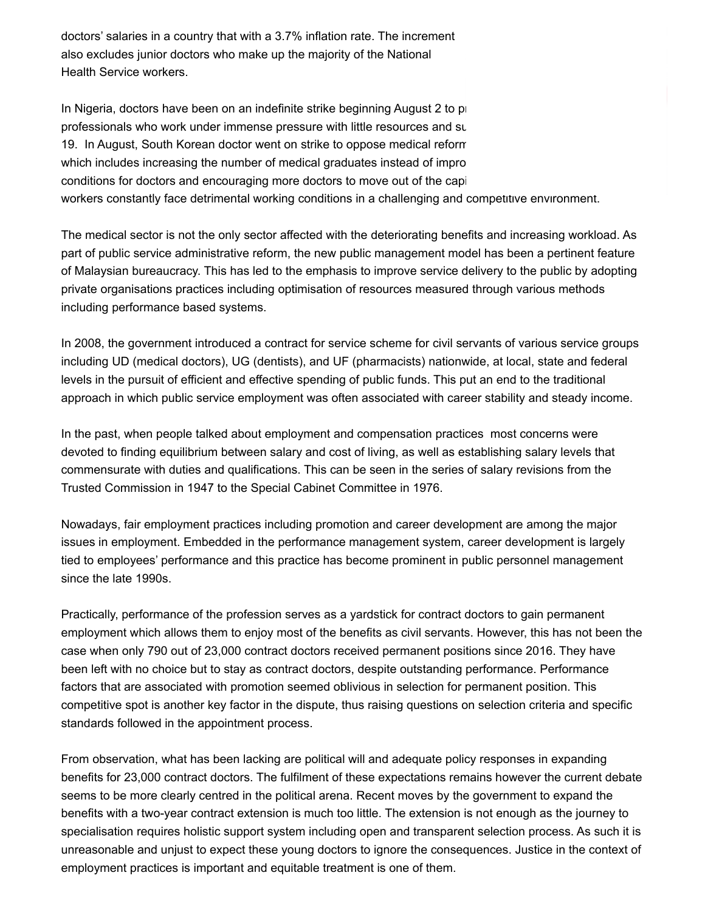doctors' salaries in a country that with a 3.7% inflation rate. The increment also excludes junior doctors who make up the majority of the National Health Service workers.

In Nigeria, doctors have been on an indefinite strike beginning August 2 to p professionals who work under immense pressure with little resources and su 19. In August, South Korean doctor went on strike to oppose medical reform which includes increasing the number of medical graduates instead of impro conditions for doctors and encouraging more doctors to move out of the capital conditions for doctors and encouraging more doctors. workers constantly face detrimental working conditions in a challenging and competitive environment.

The medical sector is not the only sector affected with the deteriorating benefits and increasing workload. As part of public service administrative reform, the new public management model has been a pertinent feature of Malaysian bureaucracy. This has led to the emphasis to improve service delivery to the public by adopting private organisations practices including optimisation of resources measured through various methods including performance based systems.

In 2008, the government introduced a contract for service scheme for civil servants of various service groups including UD (medical doctors), UG (dentists), and UF (pharmacists) nationwide, at local, state and federal levels in the pursuit of efficient and effective spending of public funds. This put an end to the traditional approach in which public service employment was often associated with career stability and steady income.

In the past, when people talked about employment and compensation practices most concerns were devoted to finding equilibrium between salary and cost of living, as well as establishing salary levels that commensurate with duties and qualifications. This can be seen in the series of salary revisions from the Trusted Commission in 1947 to the Special Cabinet Committee in 1976.

Nowadays, fair employment practices including promotion and career development are among the major issues in employment. Embedded in the performance management system, career development is largely tied to employees' performance and this practice has become prominent in public personnel management since the late 1990s.

Practically, performance of the profession serves as a yardstick for contract doctors to gain permanent employment which allows them to enjoy most of the benefits as civil servants. However, this has not been the case when only 790 out of 23,000 contract doctors received permanent positions since 2016. They have been left with no choice but to stay as contract doctors, despite outstanding performance. Performance factors that are associated with promotion seemed oblivious in selection for permanent position. This competitive spot is another key factor in the dispute, thus raising questions on selection criteria and specific standards followed in the appointment process.

From observation, what has been lacking are political will and adequate policy responses in expanding benefits for 23,000 contract doctors. The fulfilment of these expectations remains however the current debate seems to be more clearly centred in the political arena. Recent moves by the government to expand the benefits with a two-year contract extension is much too little. The extension is not enough as the journey to specialisation requires holistic support system including open and transparent selection process. As such it is unreasonable and unjust to expect these young doctors to ignore the consequences. Justice in the context of employment practices is important and equitable treatment is one of them.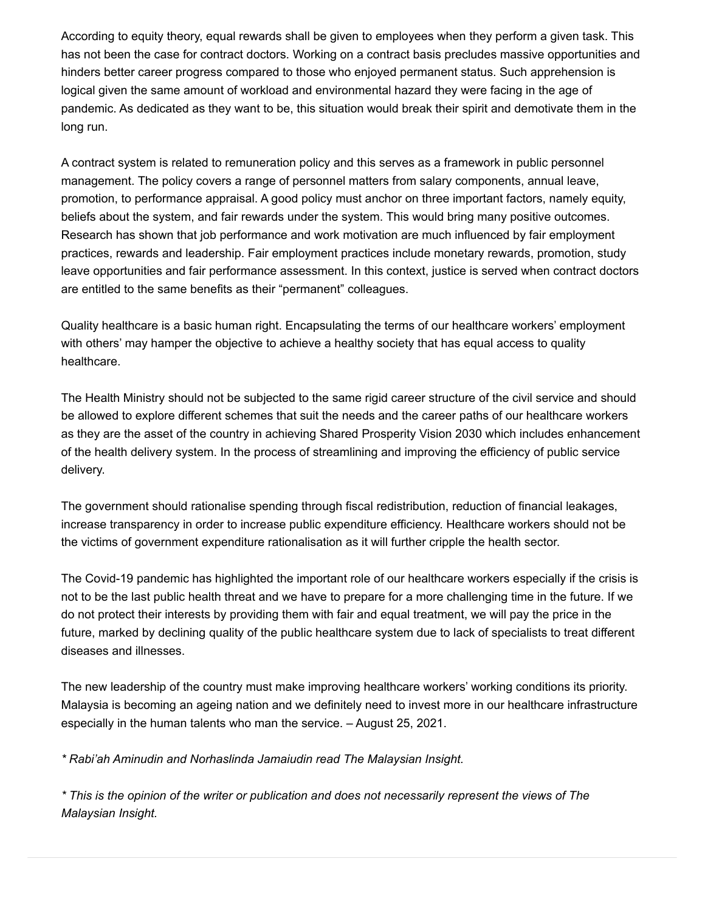According to equity theory, equal rewards shall be given to employees when they perform a given task. This has not been the case for contract doctors. Working on a contract basis precludes massive opportunities and hinders better career progress compared to those who enjoyed permanent status. Such apprehension is logical given the same amount of workload and environmental hazard they were facing in the age of pandemic. As dedicated as they want to be, this situation would break their spirit and demotivate them in the long run.

A contract system is related to remuneration policy and this serves as a framework in public personnel management. The policy covers a range of personnel matters from salary components, annual leave, promotion, to performance appraisal. A good policy must anchor on three important factors, namely equity, beliefs about the system, and fair rewards under the system. This would bring many positive outcomes. Research has shown that job performance and work motivation are much influenced by fair employment practices, rewards and leadership. Fair employment practices include monetary rewards, promotion, study leave opportunities and fair performance assessment. In this context, justice is served when contract doctors are entitled to the same benefits as their "permanent" colleagues.

Quality healthcare is a basic human right. Encapsulating the terms of our healthcare workers' employment with others' may hamper the objective to achieve a healthy society that has equal access to quality healthcare.

The Health Ministry should not be subjected to the same rigid career structure of the civil service and should be allowed to explore different schemes that suit the needs and the career paths of our healthcare workers as they are the asset of the country in achieving Shared Prosperity Vision 2030 which includes enhancement of the health delivery system. In the process of streamlining and improving the efficiency of public service delivery.

The government should rationalise spending through fiscal redistribution, reduction of financial leakages, increase transparency in order to increase public expenditure efficiency. Healthcare workers should not be the victims of government expenditure rationalisation as it will further cripple the health sector.

The Covid-19 pandemic has highlighted the important role of our healthcare workers especially if the crisis is not to be the last public health threat and we have to prepare for a more challenging time in the future. If we do not protect their interests by providing them with fair and equal treatment, we will pay the price in the future, marked by declining quality of the public healthcare system due to lack of specialists to treat different diseases and illnesses.

The new leadership of the country must make improving healthcare workers' working conditions its priority. Malaysia is becoming an ageing nation and we definitely need to invest more in our healthcare infrastructure especially in the human talents who man the service. – August 25, 2021.

*\* Rabi'ah Aminudin and Norhaslinda Jamaiudin read The Malaysian Insight.*

*\* This is the opinion of the writer or publication and does not necessarily represent the views of The Malaysian Insight.*